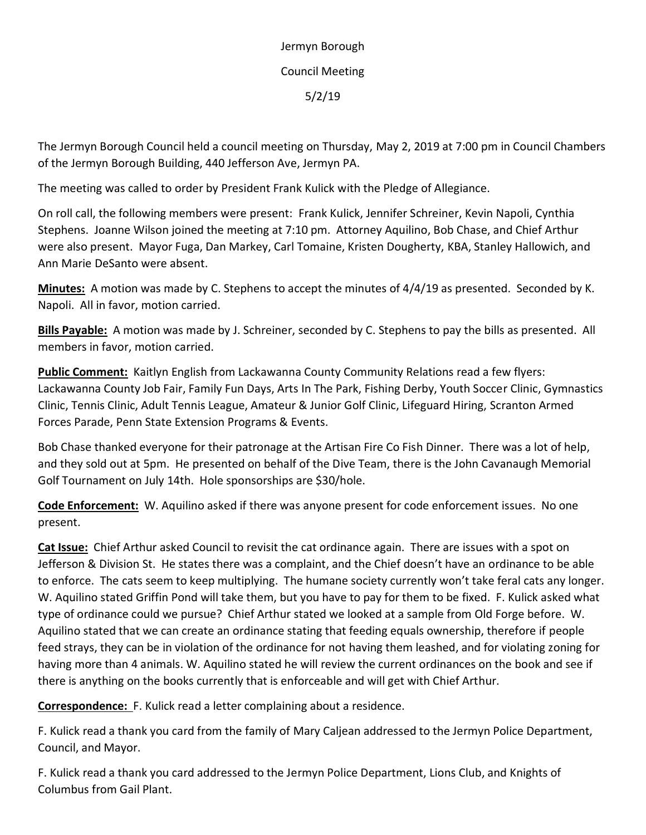Jermyn Borough Council Meeting 5/2/19

The Jermyn Borough Council held a council meeting on Thursday, May 2, 2019 at 7:00 pm in Council Chambers of the Jermyn Borough Building, 440 Jefferson Ave, Jermyn PA.

The meeting was called to order by President Frank Kulick with the Pledge of Allegiance.

On roll call, the following members were present: Frank Kulick, Jennifer Schreiner, Kevin Napoli, Cynthia Stephens. Joanne Wilson joined the meeting at 7:10 pm. Attorney Aquilino, Bob Chase, and Chief Arthur were also present. Mayor Fuga, Dan Markey, Carl Tomaine, Kristen Dougherty, KBA, Stanley Hallowich, and Ann Marie DeSanto were absent.

**Minutes:** A motion was made by C. Stephens to accept the minutes of 4/4/19 as presented. Seconded by K. Napoli. All in favor, motion carried.

**Bills Payable:** A motion was made by J. Schreiner, seconded by C. Stephens to pay the bills as presented. All members in favor, motion carried.

**Public Comment:** Kaitlyn English from Lackawanna County Community Relations read a few flyers: Lackawanna County Job Fair, Family Fun Days, Arts In The Park, Fishing Derby, Youth Soccer Clinic, Gymnastics Clinic, Tennis Clinic, Adult Tennis League, Amateur & Junior Golf Clinic, Lifeguard Hiring, Scranton Armed Forces Parade, Penn State Extension Programs & Events.

Bob Chase thanked everyone for their patronage at the Artisan Fire Co Fish Dinner. There was a lot of help, and they sold out at 5pm. He presented on behalf of the Dive Team, there is the John Cavanaugh Memorial Golf Tournament on July 14th. Hole sponsorships are \$30/hole.

**Code Enforcement:** W. Aquilino asked if there was anyone present for code enforcement issues. No one present.

**Cat Issue:** Chief Arthur asked Council to revisit the cat ordinance again. There are issues with a spot on Jefferson & Division St. He states there was a complaint, and the Chief doesn't have an ordinance to be able to enforce. The cats seem to keep multiplying. The humane society currently won't take feral cats any longer. W. Aquilino stated Griffin Pond will take them, but you have to pay for them to be fixed. F. Kulick asked what type of ordinance could we pursue? Chief Arthur stated we looked at a sample from Old Forge before. W. Aquilino stated that we can create an ordinance stating that feeding equals ownership, therefore if people feed strays, they can be in violation of the ordinance for not having them leashed, and for violating zoning for having more than 4 animals. W. Aquilino stated he will review the current ordinances on the book and see if there is anything on the books currently that is enforceable and will get with Chief Arthur.

**Correspondence:** F. Kulick read a letter complaining about a residence.

F. Kulick read a thank you card from the family of Mary Caljean addressed to the Jermyn Police Department, Council, and Mayor.

F. Kulick read a thank you card addressed to the Jermyn Police Department, Lions Club, and Knights of Columbus from Gail Plant.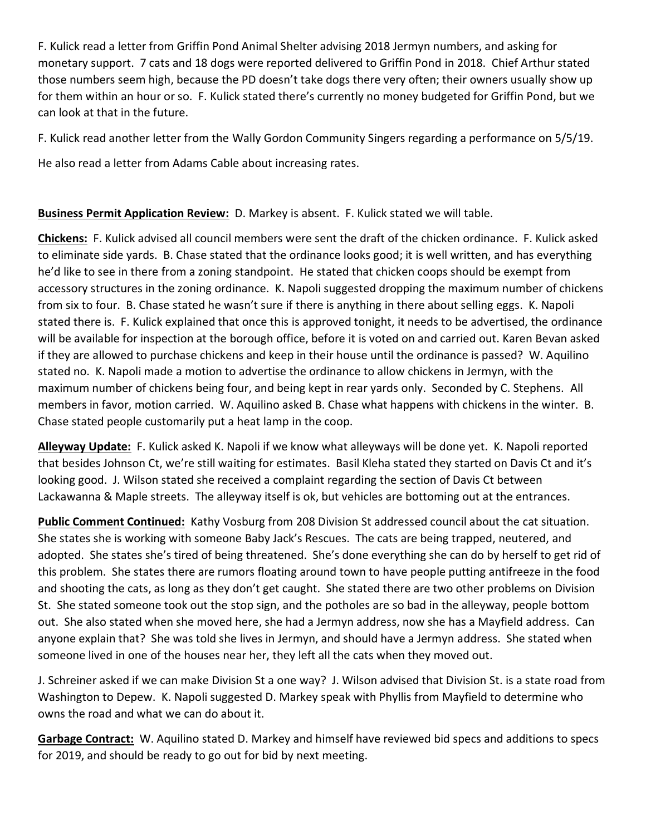F. Kulick read a letter from Griffin Pond Animal Shelter advising 2018 Jermyn numbers, and asking for monetary support. 7 cats and 18 dogs were reported delivered to Griffin Pond in 2018. Chief Arthur stated those numbers seem high, because the PD doesn't take dogs there very often; their owners usually show up for them within an hour or so. F. Kulick stated there's currently no money budgeted for Griffin Pond, but we can look at that in the future.

F. Kulick read another letter from the Wally Gordon Community Singers regarding a performance on 5/5/19.

He also read a letter from Adams Cable about increasing rates.

## **Business Permit Application Review:** D. Markey is absent. F. Kulick stated we will table.

**Chickens:** F. Kulick advised all council members were sent the draft of the chicken ordinance. F. Kulick asked to eliminate side yards. B. Chase stated that the ordinance looks good; it is well written, and has everything he'd like to see in there from a zoning standpoint. He stated that chicken coops should be exempt from accessory structures in the zoning ordinance. K. Napoli suggested dropping the maximum number of chickens from six to four. B. Chase stated he wasn't sure if there is anything in there about selling eggs. K. Napoli stated there is. F. Kulick explained that once this is approved tonight, it needs to be advertised, the ordinance will be available for inspection at the borough office, before it is voted on and carried out. Karen Bevan asked if they are allowed to purchase chickens and keep in their house until the ordinance is passed? W. Aquilino stated no. K. Napoli made a motion to advertise the ordinance to allow chickens in Jermyn, with the maximum number of chickens being four, and being kept in rear yards only. Seconded by C. Stephens. All members in favor, motion carried. W. Aquilino asked B. Chase what happens with chickens in the winter. B. Chase stated people customarily put a heat lamp in the coop.

**Alleyway Update:** F. Kulick asked K. Napoli if we know what alleyways will be done yet. K. Napoli reported that besides Johnson Ct, we're still waiting for estimates. Basil Kleha stated they started on Davis Ct and it's looking good. J. Wilson stated she received a complaint regarding the section of Davis Ct between Lackawanna & Maple streets. The alleyway itself is ok, but vehicles are bottoming out at the entrances.

**Public Comment Continued:** Kathy Vosburg from 208 Division St addressed council about the cat situation. She states she is working with someone Baby Jack's Rescues. The cats are being trapped, neutered, and adopted. She states she's tired of being threatened. She's done everything she can do by herself to get rid of this problem. She states there are rumors floating around town to have people putting antifreeze in the food and shooting the cats, as long as they don't get caught. She stated there are two other problems on Division St. She stated someone took out the stop sign, and the potholes are so bad in the alleyway, people bottom out. She also stated when she moved here, she had a Jermyn address, now she has a Mayfield address. Can anyone explain that? She was told she lives in Jermyn, and should have a Jermyn address. She stated when someone lived in one of the houses near her, they left all the cats when they moved out.

J. Schreiner asked if we can make Division St a one way? J. Wilson advised that Division St. is a state road from Washington to Depew. K. Napoli suggested D. Markey speak with Phyllis from Mayfield to determine who owns the road and what we can do about it.

**Garbage Contract:** W. Aquilino stated D. Markey and himself have reviewed bid specs and additions to specs for 2019, and should be ready to go out for bid by next meeting.